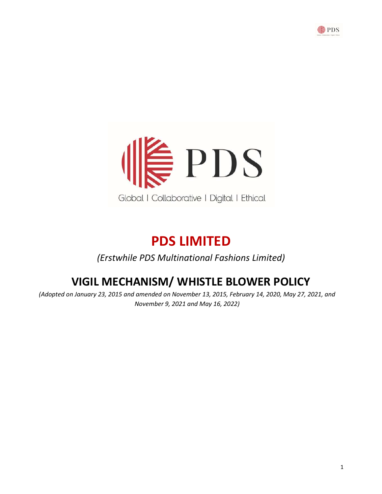



# PDS LIMITED

(Erstwhile PDS Multinational Fashions Limited)

## VIGIL MECHANISM/ WHISTLE BLOWER POLICY

(Adopted on January 23, 2015 and amended on November 13, 2015, February 14, 2020, May 27, 2021, and November 9, 2021 and May 16, 2022)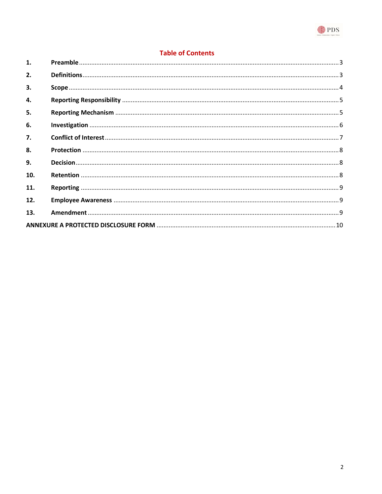

## **Table of Contents**

| $\mathbf{1}$ . |  |  |  |
|----------------|--|--|--|
| 2.             |  |  |  |
| 3.             |  |  |  |
| 4.             |  |  |  |
| 5.             |  |  |  |
| 6.             |  |  |  |
| 7.             |  |  |  |
| 8.             |  |  |  |
| 9.             |  |  |  |
| 10.            |  |  |  |
| 11.            |  |  |  |
| 12.            |  |  |  |
| 13.            |  |  |  |
|                |  |  |  |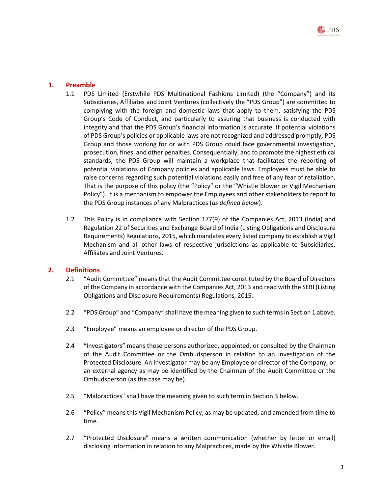## 1. Preamble

- 1.1 PDS Limited (Erstwhile PDS Multinational Fashions Limited) (the "Company") and its Subsidiaries, Affiliates and Joint Ventures (collectively the "PDS Group") are committed to complying with the foreign and domestic laws that apply to them, satisfying the PDS Group's Code of Conduct, and particularly to assuring that business is conducted with integrity and that the PDS Group's financial information is accurate. If potential violations of PDS Group's policies or applicable laws are not recognized and addressed promptly, PDS Group and those working for or with PDS Group could face governmental investigation, prosecution, fines, and other penalties. Consequentially, and to promote the highest ethical standards, the PDS Group will maintain a workplace that facilitates the reporting of potential violations of Company policies and applicable laws. Employees must be able to raise concerns regarding such potential violations easily and free of any fear of retaliation. That is the purpose of this policy (the "Policy" or the "Whistle Blower or Vigil Mechanism Policy"). It is a mechanism to empower the Employees and other stakeholders to report to the PDS Group instances of any Malpractices (as defined below).
- 1.2 This Policy is in compliance with Section 177(9) of the Companies Act, 2013 (India) and Regulation 22 of Securities and Exchange Board of India (Listing Obligations and Disclosure Requirements) Regulations, 2015, which mandates every listed company to establish a Vigil Mechanism and all other laws of respective jurisdictions as applicable to Subsidiaries, Affiliates and Joint Ventures.

## 2. Definitions

- 2.1 "Audit Committee" means that the Audit Committee constituted by the Board of Directors of the Company in accordance with the Companies Act, 2013 and read with the SEBI (Listing Obligations and Disclosure Requirements) Regulations, 2015.
- 2.2 "PDS Group" and "Company" shall have the meaning given to such terms in Section 1 above.
- 2.3 "Employee" means an employee or director of the PDS Group.
- 2.4 "Investigators" means those persons authorized, appointed, or consulted by the Chairman of the Audit Committee or the Ombudsperson in relation to an investigation of the Protected Disclosure. An Investigator may be any Employee or director of the Company, or an external agency as may be identified by the Chairman of the Audit Committee or the Ombudsperson (as the case may be).
- 2.5 "Malpractices" shall have the meaning given to such term in Section 3 below.
- 2.6 "Policy" means this Vigil Mechanism Policy, as may be updated, and amended from time to time.
- 2.7 "Protected Disclosure" means a written communication (whether by letter or email) disclosing information in relation to any Malpractices, made by the Whistle Blower.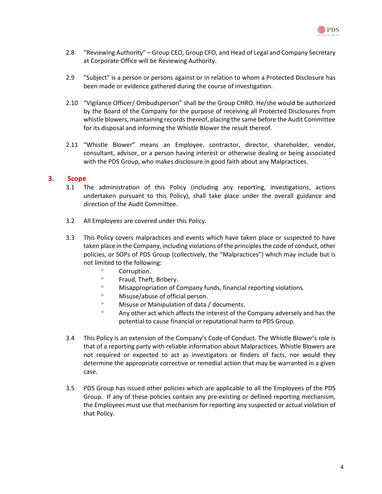

- 2.8 "Reviewing Authority" Group CEO, Group CFO, and Head of Legal and Company Secretary at Corporate Office will be Reviewing Authority.
- 2.9 "Subject" is a person or persons against or in relation to whom a Protected Disclosure has been made or evidence gathered during the course of investigation.
- 2.10 "Vigilance Officer/ Ombudsperson" shall be the Group CHRO. He/she would be authorized by the Board of the Company for the purpose of receiving all Protected Disclosures from whistle blowers, maintaining records thereof, placing the same before the Audit Committee for its disposal and informing the Whistle Blower the result thereof.
- 2.11 "Whistle Blower" means an Employee, contractor, director, shareholder, vendor, consultant, advisor, or a person having interest or otherwise dealing or being associated with the PDS Group, who makes disclosure in good faith about any Malpractices.

#### 3. Scope

- 3.1 The administration of this Policy (including any reporting, investigations, actions undertaken pursuant to this Policy), shall take place under the overall guidance and direction of the Audit Committee.
- 3.2 All Employees are covered under this Policy.
- 3.3 This Policy covers malpractices and events which have taken place or suspected to have taken place in the Company, including violations of the principles the code of conduct, other policies, or SOPs of PDS Group (collectively, the "Malpractices") which may include but is not limited to the following:
	- <sup>o</sup> Corruption.
	- Fraud, Theft, Bribery.
	- Misappropriation of Company funds, financial reporting violations.
	- Misuse/abuse of official person.
	- Misuse or Manipulation of data / documents.
	- $\degree$  Any other act which affects the interest of the Company adversely and has the potential to cause financial or reputational harm to PDS Group.
- 3.4 This Policy is an extension of the Company's Code of Conduct. The Whistle Blower's role is that of a reporting party with reliable information about Malpractices. Whistle Blowers are not required or expected to act as investigators or finders of facts, nor would they determine the appropriate corrective or remedial action that may be warranted in a given case.
- 3.5 PDS Group has issued other policies which are applicable to all the Employees of the PDS Group. If any of these policies contain any pre-existing or defined reporting mechanism, the Employees must use that mechanism for reporting any suspected or actual violation of that Policy.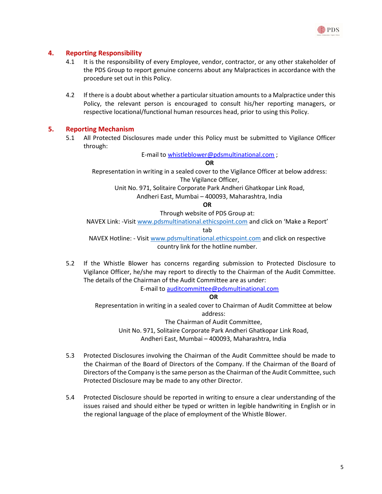

#### 4. Reporting Responsibility

- 4.1 It is the responsibility of every Employee, vendor, contractor, or any other stakeholder of the PDS Group to report genuine concerns about any Malpractices in accordance with the procedure set out in this Policy.
- 4.2 If there is a doubt about whether a particular situation amounts to a Malpractice under this Policy, the relevant person is encouraged to consult his/her reporting managers, or respective locational/functional human resources head, prior to using this Policy.

#### 5. Reporting Mechanism

5.1 All Protected Disclosures made under this Policy must be submitted to Vigilance Officer through:

E-mail to whistleblower@pdsmultinational.com ;

OR

Representation in writing in a sealed cover to the Vigilance Officer at below address: The Vigilance Officer,

Unit No. 971, Solitaire Corporate Park Andheri Ghatkopar Link Road,

Andheri East, Mumbai – 400093, Maharashtra, India

OR

Through website of PDS Group at:

NAVEX Link: -Visit www.pdsmultinational.ethicspoint.com and click on 'Make a Report'

tab

NAVEX Hotline: - Visit www.pdsmultinational.ethicspoint.com and click on respective country link for the hotline number.

5.2 If the Whistle Blower has concerns regarding submission to Protected Disclosure to Vigilance Officer, he/she may report to directly to the Chairman of the Audit Committee. The details of the Chairman of the Audit Committee are as under:

E-mail to auditcommittee@pdsmultinational.com

#### OR

Representation in writing in a sealed cover to Chairman of Audit Committee at below address:

The Chairman of Audit Committee,

Unit No. 971, Solitaire Corporate Park Andheri Ghatkopar Link Road, Andheri East, Mumbai – 400093, Maharashtra, India

- 5.3 Protected Disclosures involving the Chairman of the Audit Committee should be made to the Chairman of the Board of Directors of the Company. If the Chairman of the Board of Directors of the Company is the same person as the Chairman of the Audit Committee, such Protected Disclosure may be made to any other Director.
- 5.4 Protected Disclosure should be reported in writing to ensure a clear understanding of the issues raised and should either be typed or written in legible handwriting in English or in the regional language of the place of employment of the Whistle Blower.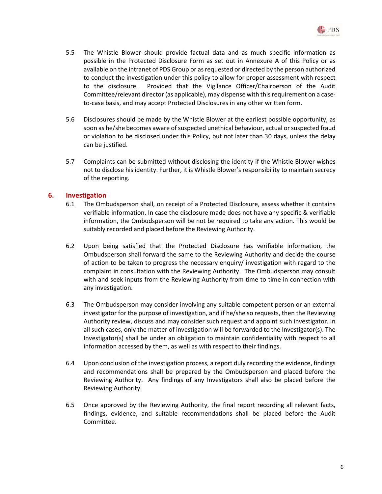

- 5.5 The Whistle Blower should provide factual data and as much specific information as possible in the Protected Disclosure Form as set out in Annexure A of this Policy or as available on the intranet of PDS Group or as requested or directed by the person authorized to conduct the investigation under this policy to allow for proper assessment with respect to the disclosure. Provided that the Vigilance Officer/Chairperson of the Audit Committee/relevant director (as applicable), may dispense with this requirement on a caseto-case basis, and may accept Protected Disclosures in any other written form.
- 5.6 Disclosures should be made by the Whistle Blower at the earliest possible opportunity, as soon as he/she becomes aware of suspected unethical behaviour, actual or suspected fraud or violation to be disclosed under this Policy, but not later than 30 days, unless the delay can be justified.
- 5.7 Complaints can be submitted without disclosing the identity if the Whistle Blower wishes not to disclose his identity. Further, it is Whistle Blower's responsibility to maintain secrecy of the reporting.

## 6. Investigation

- 6.1 The Ombudsperson shall, on receipt of a Protected Disclosure, assess whether it contains verifiable information. In case the disclosure made does not have any specific & verifiable information, the Ombudsperson will be not be required to take any action. This would be suitably recorded and placed before the Reviewing Authority.
- 6.2 Upon being satisfied that the Protected Disclosure has verifiable information, the Ombudsperson shall forward the same to the Reviewing Authority and decide the course of action to be taken to progress the necessary enquiry/ investigation with regard to the complaint in consultation with the Reviewing Authority. The Ombudsperson may consult with and seek inputs from the Reviewing Authority from time to time in connection with any investigation.
- 6.3 The Ombudsperson may consider involving any suitable competent person or an external investigator for the purpose of investigation, and if he/she so requests, then the Reviewing Authority review, discuss and may consider such request and appoint such investigator. In all such cases, only the matter of investigation will be forwarded to the Investigator(s). The Investigator(s) shall be under an obligation to maintain confidentiality with respect to all information accessed by them, as well as with respect to their findings.
- 6.4 Upon conclusion of the investigation process, a report duly recording the evidence, findings and recommendations shall be prepared by the Ombudsperson and placed before the Reviewing Authority. Any findings of any Investigators shall also be placed before the Reviewing Authority.
- 6.5 Once approved by the Reviewing Authority, the final report recording all relevant facts, findings, evidence, and suitable recommendations shall be placed before the Audit Committee.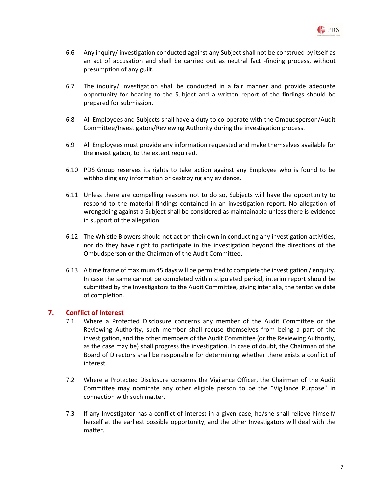

- 6.6 Any inquiry/ investigation conducted against any Subject shall not be construed by itself as an act of accusation and shall be carried out as neutral fact -finding process, without presumption of any guilt.
- 6.7 The inquiry/ investigation shall be conducted in a fair manner and provide adequate opportunity for hearing to the Subject and a written report of the findings should be prepared for submission.
- 6.8 All Employees and Subjects shall have a duty to co-operate with the Ombudsperson/Audit Committee/Investigators/Reviewing Authority during the investigation process.
- 6.9 All Employees must provide any information requested and make themselves available for the investigation, to the extent required.
- 6.10 PDS Group reserves its rights to take action against any Employee who is found to be withholding any information or destroying any evidence.
- 6.11 Unless there are compelling reasons not to do so, Subjects will have the opportunity to respond to the material findings contained in an investigation report. No allegation of wrongdoing against a Subject shall be considered as maintainable unless there is evidence in support of the allegation.
- 6.12 The Whistle Blowers should not act on their own in conducting any investigation activities, nor do they have right to participate in the investigation beyond the directions of the Ombudsperson or the Chairman of the Audit Committee.
- 6.13 A time frame of maximum 45 days will be permitted to complete the investigation / enquiry. In case the same cannot be completed within stipulated period, interim report should be submitted by the Investigators to the Audit Committee, giving inter alia, the tentative date of completion.

## 7. Conflict of Interest

- 7.1 Where a Protected Disclosure concerns any member of the Audit Committee or the Reviewing Authority, such member shall recuse themselves from being a part of the investigation, and the other members of the Audit Committee (or the Reviewing Authority, as the case may be) shall progress the investigation. In case of doubt, the Chairman of the Board of Directors shall be responsible for determining whether there exists a conflict of interest.
- 7.2 Where a Protected Disclosure concerns the Vigilance Officer, the Chairman of the Audit Committee may nominate any other eligible person to be the "Vigilance Purpose" in connection with such matter.
- 7.3 If any Investigator has a conflict of interest in a given case, he/she shall relieve himself/ herself at the earliest possible opportunity, and the other Investigators will deal with the matter.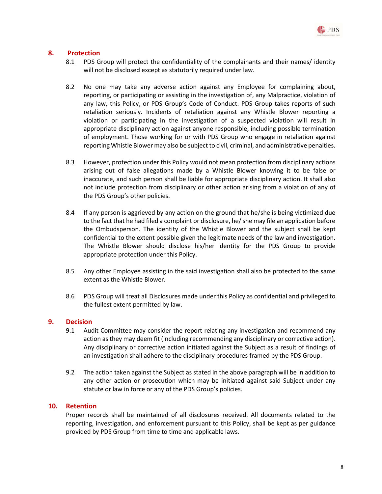

#### 8. Protection

- 8.1 PDS Group will protect the confidentiality of the complainants and their names/ identity will not be disclosed except as statutorily required under law.
- 8.2 No one may take any adverse action against any Employee for complaining about, reporting, or participating or assisting in the investigation of, any Malpractice, violation of any law, this Policy, or PDS Group's Code of Conduct. PDS Group takes reports of such retaliation seriously. Incidents of retaliation against any Whistle Blower reporting a violation or participating in the investigation of a suspected violation will result in appropriate disciplinary action against anyone responsible, including possible termination of employment. Those working for or with PDS Group who engage in retaliation against reporting Whistle Blower may also be subject to civil, criminal, and administrative penalties.
- 8.3 However, protection under this Policy would not mean protection from disciplinary actions arising out of false allegations made by a Whistle Blower knowing it to be false or inaccurate, and such person shall be liable for appropriate disciplinary action. It shall also not include protection from disciplinary or other action arising from a violation of any of the PDS Group's other policies.
- 8.4 If any person is aggrieved by any action on the ground that he/she is being victimized due to the fact that he had filed a complaint or disclosure, he/ she may file an application before the Ombudsperson. The identity of the Whistle Blower and the subject shall be kept confidential to the extent possible given the legitimate needs of the law and investigation. The Whistle Blower should disclose his/her identity for the PDS Group to provide appropriate protection under this Policy.
- 8.5 Any other Employee assisting in the said investigation shall also be protected to the same extent as the Whistle Blower.
- 8.6 PDS Group will treat all Disclosures made under this Policy as confidential and privileged to the fullest extent permitted by law.

#### 9. Decision

- 9.1 Audit Committee may consider the report relating any investigation and recommend any action as they may deem fit (including recommending any disciplinary or corrective action). Any disciplinary or corrective action initiated against the Subject as a result of findings of an investigation shall adhere to the disciplinary procedures framed by the PDS Group.
- 9.2 The action taken against the Subject as stated in the above paragraph will be in addition to any other action or prosecution which may be initiated against said Subject under any statute or law in force or any of the PDS Group's policies.

#### 10. Retention

Proper records shall be maintained of all disclosures received. All documents related to the reporting, investigation, and enforcement pursuant to this Policy, shall be kept as per guidance provided by PDS Group from time to time and applicable laws.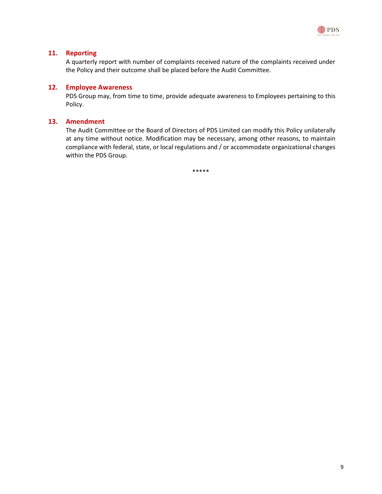

#### 11. Reporting

A quarterly report with number of complaints received nature of the complaints received under the Policy and their outcome shall be placed before the Audit Committee.

#### 12. Employee Awareness

PDS Group may, from time to time, provide adequate awareness to Employees pertaining to this Policy.

#### 13. Amendment

The Audit Committee or the Board of Directors of PDS Limited can modify this Policy unilaterally at any time without notice. Modification may be necessary, among other reasons, to maintain compliance with federal, state, or local regulations and / or accommodate organizational changes within the PDS Group.

\*\*\*\*\*